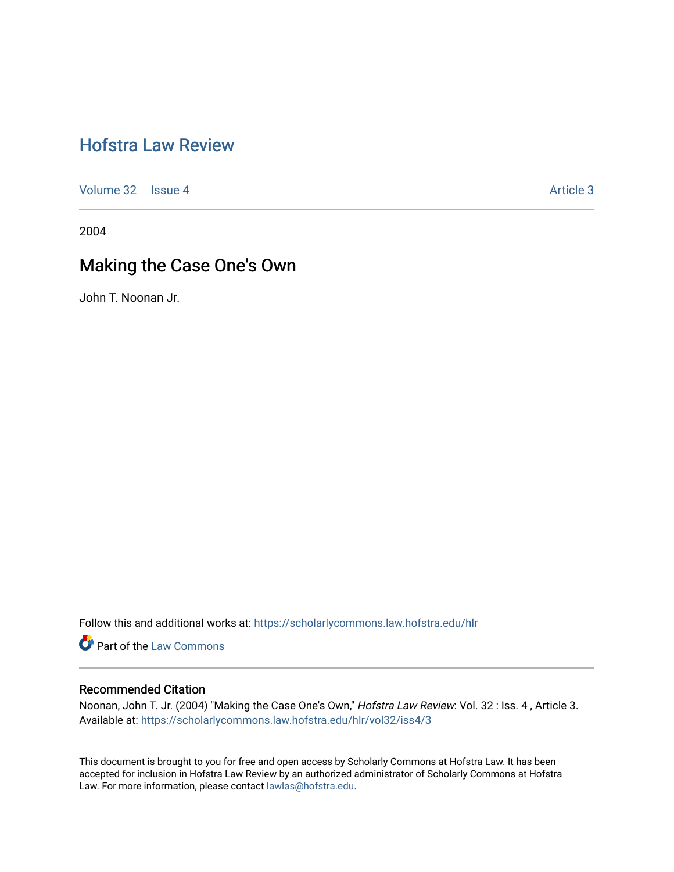# [Hofstra Law Review](https://scholarlycommons.law.hofstra.edu/hlr)

[Volume 32](https://scholarlycommons.law.hofstra.edu/hlr/vol32) | [Issue 4](https://scholarlycommons.law.hofstra.edu/hlr/vol32/iss4) Article 3

2004

## Making the Case One's Own

John T. Noonan Jr.

Follow this and additional works at: [https://scholarlycommons.law.hofstra.edu/hlr](https://scholarlycommons.law.hofstra.edu/hlr?utm_source=scholarlycommons.law.hofstra.edu%2Fhlr%2Fvol32%2Fiss4%2F3&utm_medium=PDF&utm_campaign=PDFCoverPages)

**Part of the [Law Commons](http://network.bepress.com/hgg/discipline/578?utm_source=scholarlycommons.law.hofstra.edu%2Fhlr%2Fvol32%2Fiss4%2F3&utm_medium=PDF&utm_campaign=PDFCoverPages)** 

### Recommended Citation

Noonan, John T. Jr. (2004) "Making the Case One's Own," Hofstra Law Review: Vol. 32 : Iss. 4 , Article 3. Available at: [https://scholarlycommons.law.hofstra.edu/hlr/vol32/iss4/3](https://scholarlycommons.law.hofstra.edu/hlr/vol32/iss4/3?utm_source=scholarlycommons.law.hofstra.edu%2Fhlr%2Fvol32%2Fiss4%2F3&utm_medium=PDF&utm_campaign=PDFCoverPages)

This document is brought to you for free and open access by Scholarly Commons at Hofstra Law. It has been accepted for inclusion in Hofstra Law Review by an authorized administrator of Scholarly Commons at Hofstra Law. For more information, please contact [lawlas@hofstra.edu.](mailto:lawlas@hofstra.edu)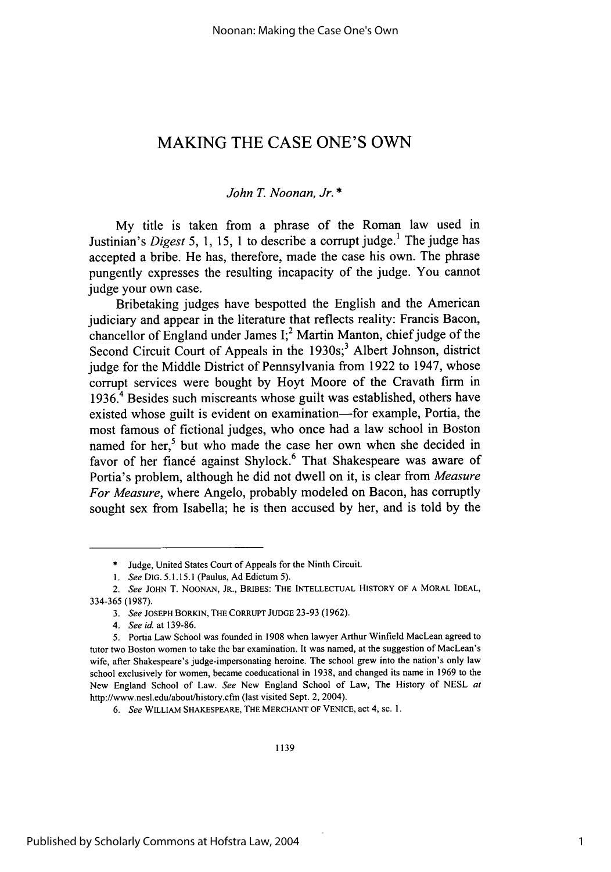## MAKING THE CASE ONE'S OWN

#### *John T Noonan, Jr. \**

My title is taken from a phrase of the Roman law used in Justinian's *Digest* 5, 1, 15, 1 to describe a corrupt judge.<sup>1</sup> The judge has accepted a bribe. He has, therefore, made the case his own. The phrase pungently expresses the resulting incapacity of the judge. You cannot judge your own case.

Bribetaking judges have bespotted the English and the American judiciary and appear in the literature that reflects reality: Francis Bacon, chancellor of England under James  $I<sub>i</sub><sup>2</sup>$  Martin Manton, chief judge of the Second Circuit Court of Appeals in the 1930s;<sup>3</sup> Albert Johnson, district judge for the Middle District of Pennsylvania from 1922 to 1947, whose corrupt services were bought by Hoyt Moore of the Cravath firm in 1936.4 Besides such miscreants whose guilt was established, others have existed whose guilt is evident on examination-for example, Portia, the most famous of fictional judges, who once had a law school in Boston named for her,<sup>5</sup> but who made the case her own when she decided in favor of her fiancé against Shylock.<sup>6</sup> That Shakespeare was aware of Portia's problem, although he did not dwell on it, is clear from *Measure For Measure,* where Angelo, probably modeled on Bacon, has corruptly sought sex from Isabella; he is then accused by her, and is told by the

**<sup>\*</sup>** Judge, United States Court of Appeals for the Ninth Circuit.

*<sup>1.</sup> See* DIG. 5.1.15.1 (Paulus, Ad Edictum 5).

*<sup>2.</sup> See* **JOHN** T. **NOONAN, JR.,** BRIBES: THE **INTELLECTUAL** HISTORY OF **A** MORAL **IDEAL,** 334-365 (1987).

*<sup>3.</sup> See* **JOSEPH** BORKIN, THE CORRUPT **JUDGE 23-93** (1962).

*<sup>4.</sup> See id.* at 139-86.

<sup>5.</sup> Portia Law School was founded in 1908 when lawyer Arthur Winfield MacLean agreed to tutor two Boston women to take the bar examination. It was named, at the suggestion of MacLean's wife, after Shakespeare's judge-impersonating heroine. The school grew into the nation's only law school exclusively for women, became coeducational in 1938, and changed its name in 1969 to the New England School of Law. *See* New England School of Law, The History of NESL *at* http://www.nesl.edu/about/history.cfin (last visited Sept. 2, 2004).

<sup>6.</sup> See WILLIAM SHAKESPEARE, THE MERCHANT OF VENICE, act 4, sc. 1.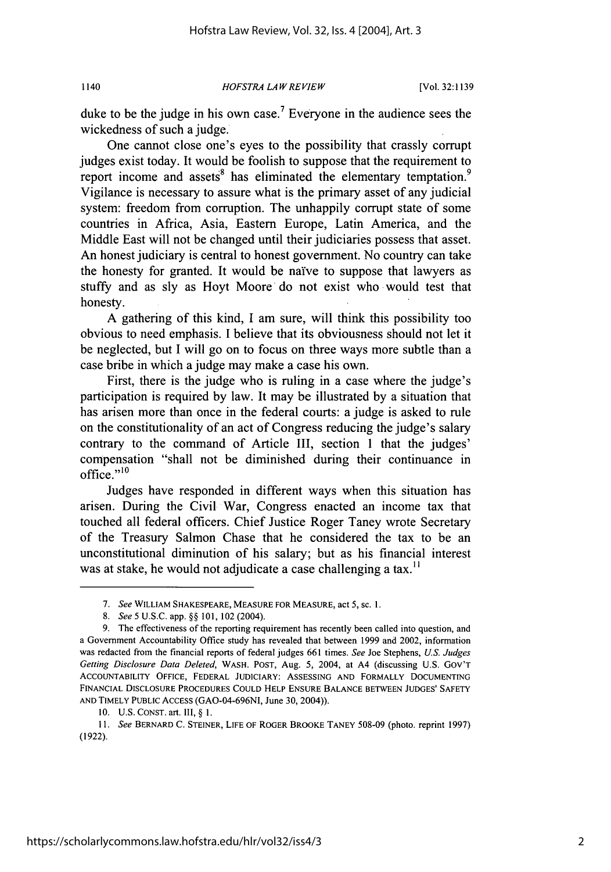1140

*HOFSTRA LAW REVIEW*

duke to be the judge in his own case.<sup>7</sup> Everyone in the audience sees the wickedness of such a judge.

One cannot close one's eyes to the possibility that crassly corrupt judges exist today. It would be foolish to suppose that the requirement to report income and assets<sup>8</sup> has eliminated the elementary temptation.<sup>9</sup> Vigilance is necessary to assure what is the primary asset of any judicial system: freedom from corruption. The unhappily corrupt state of some countries in Africa, Asia, Eastern Europe, Latin America, and the Middle East will not be changed until their judiciaries possess that asset. An honest judiciary is central to honest government. No country can take the honesty for granted. It would be naïve to suppose that lawyers as stuffy and as sly as Hoyt Moore do not exist who would test that honesty.

A gathering of this kind, I am sure, will think this possibility too obvious to need emphasis. I believe that its obviousness should not let it be neglected, but I will go on to focus on three ways more subtle than a case bribe in which a judge may make a case his own.

First, there is the judge who is ruling in a case where the judge's participation is required by law. It may be illustrated by a situation that has arisen more than once in the federal courts: a judge is asked to rule on the constitutionality of an act of Congress reducing the judge's salary contrary to the command of Article III, section 1 that the judges' compensation "shall not be diminished during their continuance in office."<sup>11</sup>

Judges have responded in different ways when this situation has arisen. During the Civil War, Congress enacted an income tax that touched all federal officers. Chief Justice Roger Taney wrote Secretary of the Treasury Salmon Chase that he considered the tax to be an unconstitutional diminution of his salary; but as his financial interest was at stake, he would not adjudicate a case challenging a tax.<sup>11</sup>

<sup>7.</sup> *See* WILLIAM SHAKESPEARE, MEASURE FOR MEASURE, act 5, sc. 1.

*<sup>8.</sup> See* **5** U.S.C. app. §§ 101, 102 (2004).

<sup>9.</sup> The effectiveness of the reporting requirement has recently been called into question, and a Government Accountability Office study has revealed that between **1999** and 2002, information was redacted from the financial reports of federal judges **661** times. *See* Joe Stephens, *U.S. Judges Getting Disclosure Data Deleted,* WASH. POST, Aug. 5, 2004, at A4 (discussing U.S. GOv'T ACCOUNTABILITY OFFICE, FEDERAL JUDICIARY: ASSESSING AND FORMALLY DOCUMENTING FINANCIAL DISCLOSURE PROCEDURES COULD HELP ENSURE BALANCE BETWEEN JUDGES' SAFETY AND TIMELY PUBLIC ACCESS (GAO-04-696NI, June 30, 2004)).

**<sup>10.</sup>** U.S. CONST. art. III, § 1.

*<sup>11.</sup> See* BERNARD C. STEINER, LIFE OF ROGER BROOKE TANEY **508-09** (photo. reprint 1997) (1922).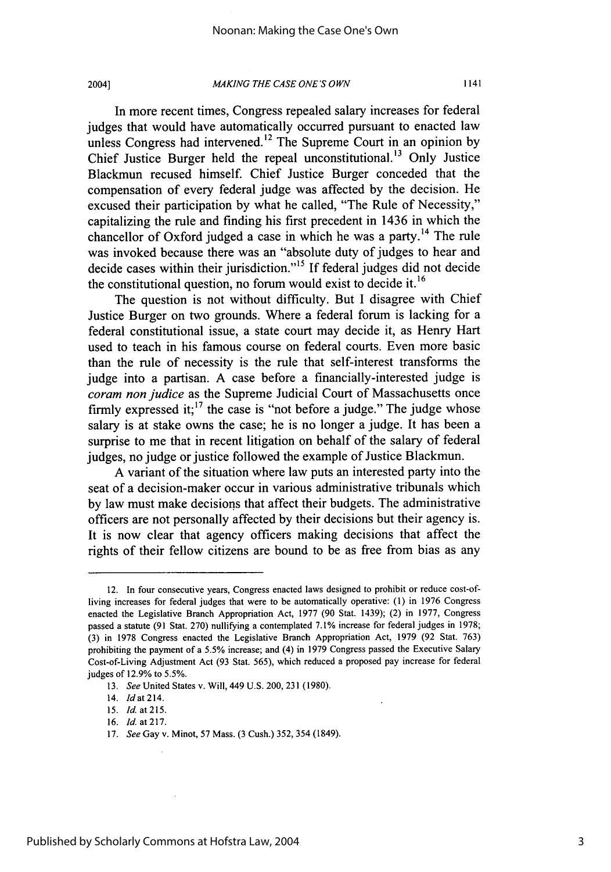2004]

#### MAKING *THE CASE ONE'S OWN*

In more recent times, Congress repealed salary increases for federal judges that would have automatically occurred pursuant to enacted law unless Congress had intervened.<sup>12</sup> The Supreme Court in an opinion by Chief Justice Burger held the repeal unconstitutional.<sup>13</sup> Only Justice Blackmun recused himself. Chief Justice Burger conceded that the compensation of every federal judge was affected by the decision. He excused their participation by what he called, "The Rule of Necessity," capitalizing the rule and finding his first precedent in 1436 in which the chancellor of Oxford judged a case in which he was a party. 14 The rule was invoked because there was an "absolute duty of judges to hear and decide cases within their jurisdiction."<sup>15</sup> If federal judges did not decide the constitutional question, no forum would exist to decide it.<sup>16</sup>

The question is not without difficulty. But I disagree with Chief Justice Burger on two grounds. Where a federal forum is lacking for a federal constitutional issue, a state court may decide it, as Henry Hart used to teach in his famous course on federal courts. Even more basic than the rule of necessity is the rule that self-interest transforms the judge into a partisan. A case before a financially-interested judge is *coram non judice* as the Supreme Judicial Court of Massachusetts once firmly expressed it;<sup>17</sup> the case is "not before a judge." The judge whose salary is at stake owns the case; he is no longer a judge. It has been a surprise to me that in recent litigation on behalf of the salary of federal judges, no judge or justice followed the example of Justice Blackmun.

A variant of the situation where law puts an interested party into the seat of a decision-maker occur in various administrative tribunals which by law must make decisions that affect their budgets. The administrative officers are not personally affected by their decisions but their agency is. It is now clear that agency officers making decisions that affect the rights of their fellow citizens are bound to be as free from bias as any

<sup>12.</sup> In four consecutive years, Congress enacted laws designed to prohibit or reduce cost-ofliving increases for federal judges that were to be automatically operative: **(1)** in 1976 Congress enacted the Legislative Branch Appropriation Act, 1977 (90 Stat. 1439); (2) in 1977, Congress passed a statute (91 Stat. 270) nullifying a contemplated 7.1% increase for federal judges in 1978; (3) in 1978 Congress enacted the Legislative Branch Appropriation Act, 1979 (92 Stat. 763) prohibiting the payment of a 5.5% increase; and (4) in 1979 Congress passed the Executive Salary Cost-of-Living Adjustment Act (93 Stat. 565), which reduced a proposed pay increase for federal judges of 12.9% to 5.5%.

<sup>13.</sup> *See* United States v. Will, 449 U.S. 200, 231 (1980).

<sup>14.</sup> *Idat* 214.

*<sup>15.</sup>* Id. at215.

<sup>16.</sup> *Id.* at 217.

<sup>17.</sup> *See* Gay v. Minot, 57 Mass. (3 Cush.) 352, 354 (1849).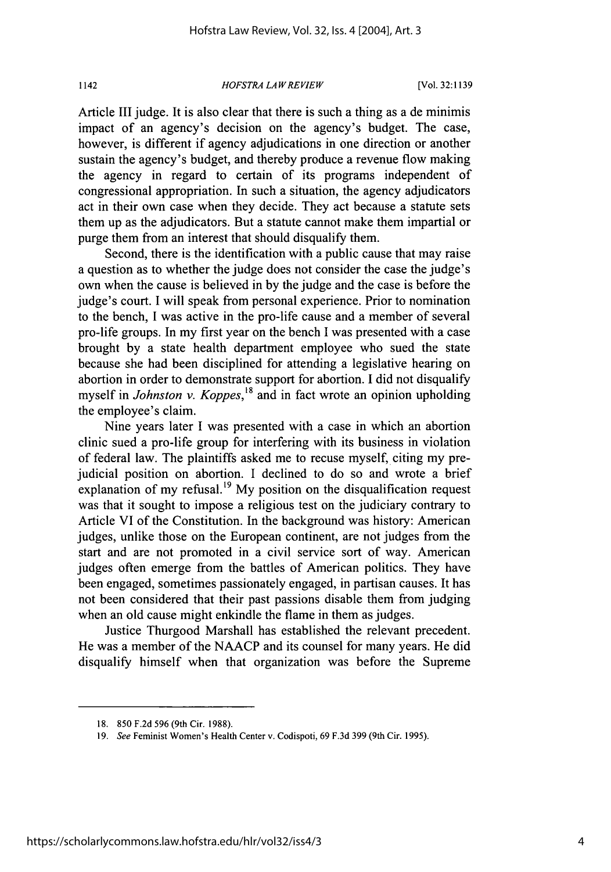*HOFSTRA LAW REVIEW* 1142 [Vol. **32:1139**

Article III judge. It is also clear that there is such a thing as a de minimis impact of an agency's decision on the agency's budget. The case, however, is different if agency adjudications in one direction or another sustain the agency's budget, and thereby produce a revenue flow making the agency in regard to certain of its programs independent of congressional appropriation. In such a situation, the agency adjudicators act in their own case when they decide. They act because a statute sets them up as the adjudicators. But a statute cannot make them impartial or purge them from an interest that should disqualify them.

Second, there is the identification with a public cause that may raise a question as to whether the judge does not consider the case the judge's own when the cause is believed in by the judge and the case is before the judge's court. I will speak from personal experience. Prior to nomination to the bench, I was active in the pro-life cause and a member of several pro-life groups. In my first year on the bench I was presented with a case brought by a state health department employee who sued the state because she had been disciplined for attending a legislative hearing on abortion in order to demonstrate support for abortion. I did not disqualify myself in *Johnston v. Koppes*,<sup>18</sup> and in fact wrote an opinion upholding the employee's claim.

Nine years later I was presented with a case in which an abortion clinic sued a pro-life group for interfering with its business in violation of federal law. The plaintiffs asked me to recuse myself, citing my prejudicial position on abortion. I declined to do so and wrote a brief explanation of my refusal.<sup>19</sup> My position on the disqualification request was that it sought to impose a religious test on the judiciary contrary to Article VI of the Constitution. In the background was history: American judges, unlike those on the European continent, are not judges from the start and are not promoted in a civil service sort of way. American judges often emerge from the battles of American politics. They have been engaged, sometimes passionately engaged, in partisan causes. It has not been considered that their past passions disable them from judging when an old cause might enkindle the flame in them as judges.

Justice Thurgood Marshall has established the relevant precedent. He was a member of the NAACP and its counsel for many years. He did disqualify himself when that organization was before the Supreme

<sup>18.</sup> **850** F.2d 596 (9th Cir. 1988).

<sup>19.</sup> *See* Feminist Women's Health Center v. Codispoti, 69 F.3d 399 (9th Cir. 1995).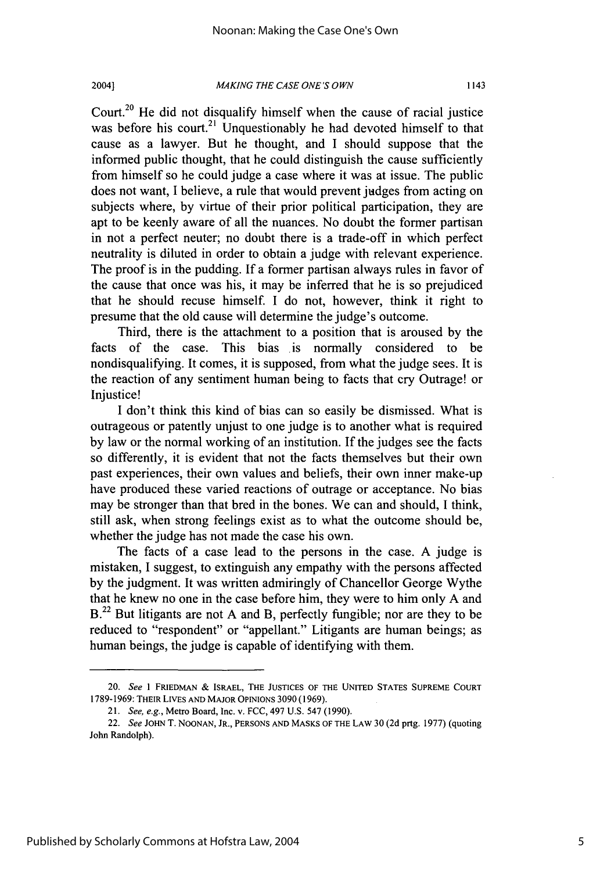#### *MAKING THE CASE ONE'S OWN* **2004)** 1143

Court.<sup>20</sup> He did not disqualify himself when the cause of racial justice was before his court.<sup>21</sup> Unquestionably he had devoted himself to that cause as a lawyer. But he thought, and I should suppose that the informed public thought, that he could distinguish the cause sufficiently from himself so he could judge a case where it was at issue. The public does not want, I believe, a rule that would prevent judges from acting on subjects where, by virtue of their prior political participation, they are apt to be keenly aware of all the nuances. No doubt the former partisan in not a perfect neuter; no doubt there is a trade-off in which perfect neutrality is diluted in order to obtain a judge with relevant experience. The proof is in the pudding. If a former partisan always rules in favor of the cause that once was his, it may be inferred that he is so prejudiced that he should recuse himself. I do not, however, think it right to presume that the old cause will determine the judge's outcome.

Third, there is the attachment to a position that is aroused by the facts of the case. This bias is normally considered to be nondisqualifying. It comes, it is supposed, from what the judge sees. It is the reaction of any sentiment human being to facts that cry Outrage! or Injustice!

I don't think this kind of bias can so easily be dismissed. What is outrageous or patently unjust to one judge is to another what is required by law or the normal working of an institution. If the judges see the facts so differently, it is evident that not the facts themselves but their own past experiences, their own values and beliefs, their own inner make-up have produced these varied reactions of outrage or acceptance. No bias may be stronger than that bred in the bones. We can and should, I think, still ask, when strong feelings exist as to what the outcome should be, whether the judge has not made the case his own.

The facts of a case lead to the persons in the case. A judge is mistaken, I suggest, to extinguish any empathy with the persons affected by the judgment. It was written admiringly of Chancellor George Wythe that he knew no one in the case before him, they were to him only A and B.<sup>22</sup> But litigants are not A and B, perfectly fungible; nor are they to be reduced to "respondent" or "appellant." Litigants are human beings; as human beings, the judge is capable of identifying with them.

<sup>20.</sup> *See* **I** FRIEDMAN & ISRAEL, THE **JUSTICES** OF THE UNITED **STATES SUPREME COURT 1789-1969:** THEIR **LIVES AND** MAJOR OPINIONS **3090 (1969).**

<sup>21.</sup> *See, e.g.,* Metro Board, Inc. v. FCC, 497 U.S. 547 (1990).

<sup>22.</sup> *See* JOHN T. **NOONAN,** JR., **PERSONS AND MASKS** OF THE LAW 30 (2d prtg. 1977) (quoting John Randolph).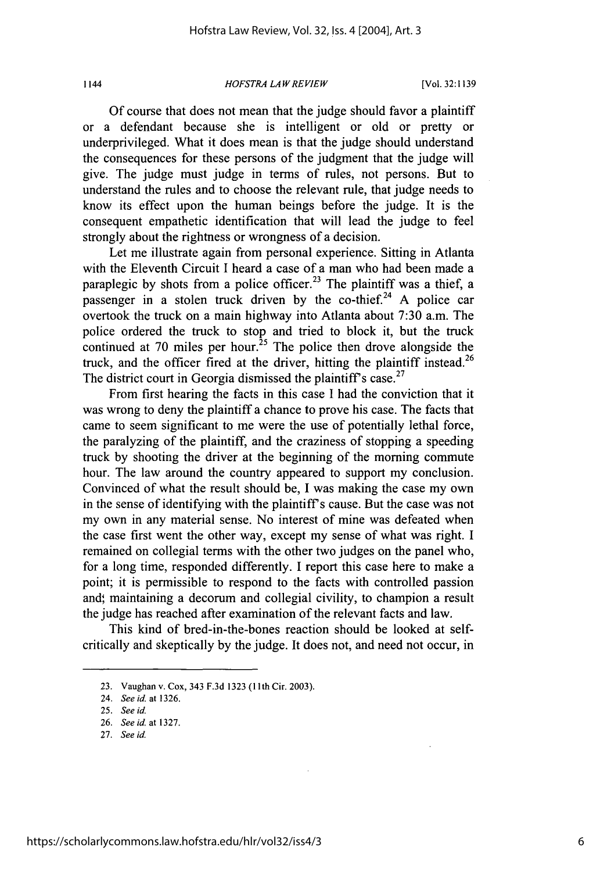1144

#### *HOFSTRA LA W RE VIEW*

[Vol. **32:1139**

Of course that does not mean that the judge should favor a plaintiff or a defendant because she is intelligent or old or pretty or underprivileged. What it does mean is that the judge should understand the consequences for these persons of the judgment that the judge will give. The judge must judge in terms of rules, not persons. But to understand the rules and to choose the relevant rule, that judge needs to know its effect upon the human beings before the judge. It is the consequent empathetic identification that will lead the judge to feel strongly about the rightness or wrongness of a decision.

Let me illustrate again from personal experience. Sitting in Atlanta with the Eleventh Circuit I heard a case of a man who had been made a paraplegic by shots from a police officer.<sup>23</sup> The plaintiff was a thief, a passenger in a stolen truck driven by the co-thief.<sup>24</sup> A police car overtook the truck on a main highway into Atlanta about 7:30 a.m. The police ordered the truck to stop and tried to block it, but the truck continued at 70 miles per hour.<sup>25</sup> The police then drove alongside the truck, and the officer fired at the driver, hitting the plaintiff instead.<sup>26</sup> The district court in Georgia dismissed the plaintiff's case.<sup>27</sup>

From first hearing the facts in this case I had the conviction that it was wrong to deny the plaintiff a chance to prove his case. The facts that came to seem significant to me were the use of potentially lethal force, the paralyzing of the plaintiff, and the craziness of stopping a speeding truck by shooting the driver at the beginning of the morning commute hour. The law around the country appeared to support my conclusion. Convinced of what the result should be, I was making the case my own in the sense of identifying with the plaintiff's cause. But the case was not my own in any material sense. No interest of mine was defeated when the case first went the other way, except my sense of what was right. I remained on collegial terms with the other two judges on the panel who, for a long time, responded differently. I report this case here to make a point; it is permissible to respond to the facts with controlled passion and' maintaining a decorum and collegial civility, to champion a result the judge has reached after examination of the relevant facts and law.

This kind of bred-in-the-bones reaction should be looked at selfcritically and skeptically by the judge. It does not, and need not occur, in

<sup>23.</sup> Vaughan v. Cox, 343 F.3d 1323 **(11** th Cir. 2003).

<sup>24.</sup> See id. at 1326.

<sup>25.</sup> See id.

<sup>26.</sup> See id. at 1327.

<sup>27.</sup> See *id.*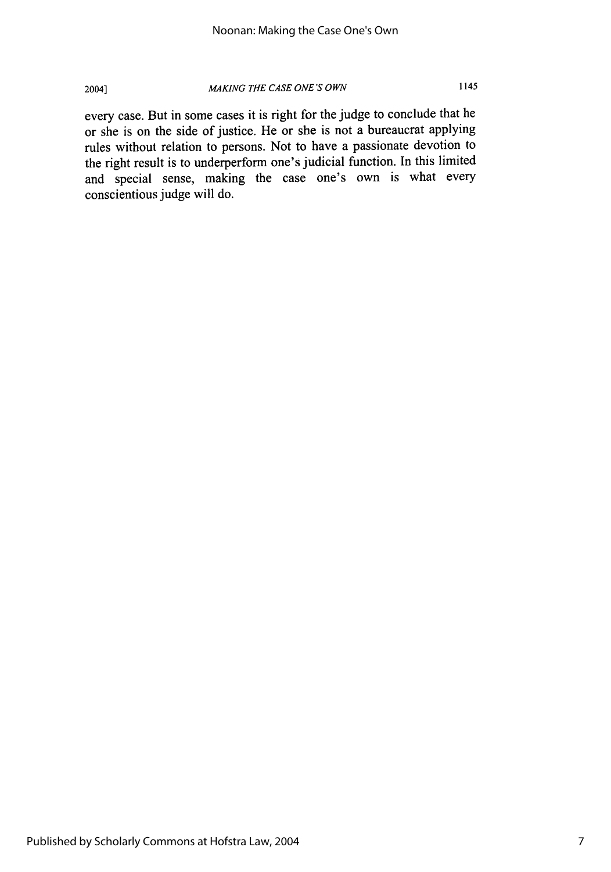2004] *MAKING THE CASE ONE'S OWN* <sup>1145</sup>

every case. But in some cases it is right for the judge to conclude that he or she is on the side of justice. He or she is not a bureaucrat applying rules without relation to persons. Not to have a passionate devotion to the right result is to underperform one's judicial function. In this limited and special sense, making the case one's own is what every conscientious judge will do.